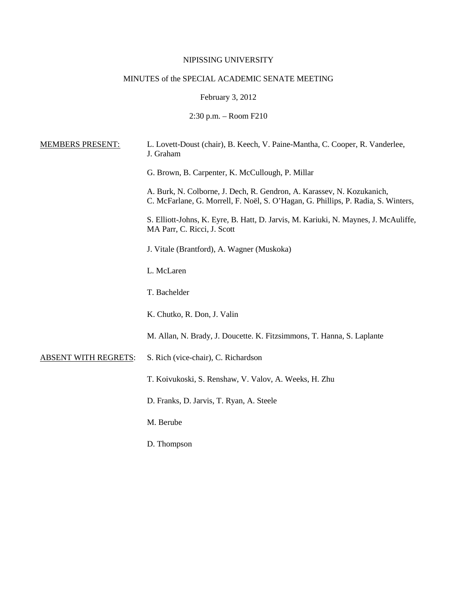### NIPISSING UNIVERSITY

# MINUTES of the SPECIAL ACADEMIC SENATE MEETING

February 3, 2012

2:30 p.m. – Room F210

| <b>MEMBERS PRESENT:</b>     | L. Lovett-Doust (chair), B. Keech, V. Paine-Mantha, C. Cooper, R. Vanderlee,<br>J. Graham                                                                   |
|-----------------------------|-------------------------------------------------------------------------------------------------------------------------------------------------------------|
|                             | G. Brown, B. Carpenter, K. McCullough, P. Millar                                                                                                            |
|                             | A. Burk, N. Colborne, J. Dech, R. Gendron, A. Karassev, N. Kozukanich,<br>C. McFarlane, G. Morrell, F. Noël, S. O'Hagan, G. Phillips, P. Radia, S. Winters, |
|                             | S. Elliott-Johns, K. Eyre, B. Hatt, D. Jarvis, M. Kariuki, N. Maynes, J. McAuliffe,<br>MA Parr, C. Ricci, J. Scott                                          |
|                             | J. Vitale (Brantford), A. Wagner (Muskoka)                                                                                                                  |
|                             | L. McLaren                                                                                                                                                  |
|                             | T. Bachelder                                                                                                                                                |
|                             | K. Chutko, R. Don, J. Valin                                                                                                                                 |
|                             | M. Allan, N. Brady, J. Doucette. K. Fitzsimmons, T. Hanna, S. Laplante                                                                                      |
| <b>ABSENT WITH REGRETS:</b> | S. Rich (vice-chair), C. Richardson                                                                                                                         |
|                             | T. Koivukoski, S. Renshaw, V. Valov, A. Weeks, H. Zhu                                                                                                       |
|                             | D. Franks, D. Jarvis, T. Ryan, A. Steele                                                                                                                    |
|                             | M. Berube                                                                                                                                                   |
|                             | D. Thompson                                                                                                                                                 |
|                             |                                                                                                                                                             |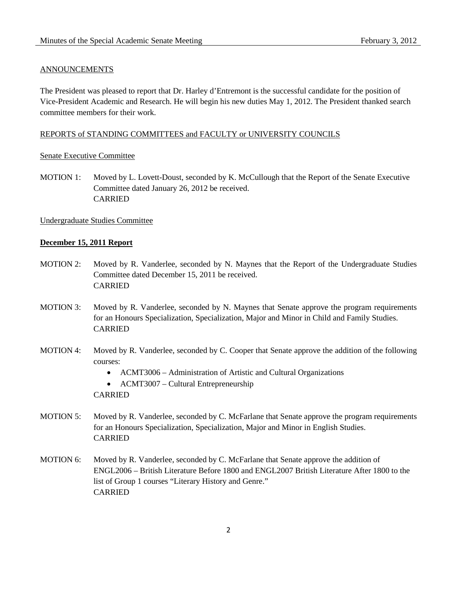#### ANNOUNCEMENTS

The President was pleased to report that Dr. Harley d'Entremont is the successful candidate for the position of Vice-President Academic and Research. He will begin his new duties May 1, 2012. The President thanked search committee members for their work.

#### REPORTS of STANDING COMMITTEES and FACULTY or UNIVERSITY COUNCILS

#### Senate Executive Committee

MOTION 1: Moved by L. Lovett-Doust, seconded by K. McCullough that the Report of the Senate Executive Committee dated January 26, 2012 be received. CARRIED

### Undergraduate Studies Committee

#### **December 15, 2011 Report**

- MOTION 2: Moved by R. Vanderlee, seconded by N. Maynes that the Report of the Undergraduate Studies Committee dated December 15, 2011 be received. CARRIED
- MOTION 3: Moved by R. Vanderlee, seconded by N. Maynes that Senate approve the program requirements for an Honours Specialization, Specialization, Major and Minor in Child and Family Studies. CARRIED
- MOTION 4: Moved by R. Vanderlee, seconded by C. Cooper that Senate approve the addition of the following courses:
	- ACMT3006 Administration of Artistic and Cultural Organizations

• ACMT3007 – Cultural Entrepreneurship CARRIED

- MOTION 5: Moved by R. Vanderlee, seconded by C. McFarlane that Senate approve the program requirements for an Honours Specialization, Specialization, Major and Minor in English Studies. CARRIED
- MOTION 6: Moved by R. Vanderlee, seconded by C. McFarlane that Senate approve the addition of ENGL2006 – British Literature Before 1800 and ENGL2007 British Literature After 1800 to the list of Group 1 courses "Literary History and Genre." CARRIED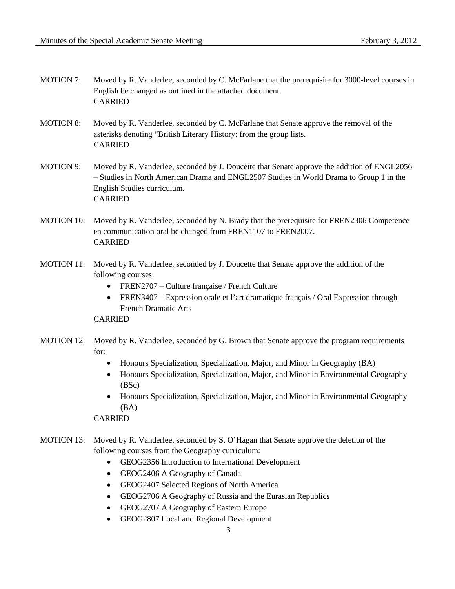- MOTION 7: Moved by R. Vanderlee, seconded by C. McFarlane that the prerequisite for 3000-level courses in English be changed as outlined in the attached document. CARRIED
- MOTION 8: Moved by R. Vanderlee, seconded by C. McFarlane that Senate approve the removal of the asterisks denoting "British Literary History: from the group lists. CARRIED
- MOTION 9: Moved by R. Vanderlee, seconded by J. Doucette that Senate approve the addition of ENGL2056 – Studies in North American Drama and ENGL2507 Studies in World Drama to Group 1 in the English Studies curriculum. CARRIED
- MOTION 10: Moved by R. Vanderlee, seconded by N. Brady that the prerequisite for FREN2306 Competence en communication oral be changed from FREN1107 to FREN2007. CARRIED
- MOTION 11: Moved by R. Vanderlee, seconded by J. Doucette that Senate approve the addition of the following courses:
	- FREN2707 Culture française / French Culture
	- FREN3407 Expression orale et l'art dramatique français / Oral Expression through French Dramatic Arts

CARRIED

- MOTION 12: Moved by R. Vanderlee, seconded by G. Brown that Senate approve the program requirements for:
	- Honours Specialization, Specialization, Major, and Minor in Geography (BA)
	- Honours Specialization, Specialization, Major, and Minor in Environmental Geography (BSc)
	- Honours Specialization, Specialization, Major, and Minor in Environmental Geography (BA)

CARRIED

- MOTION 13: Moved by R. Vanderlee, seconded by S. O'Hagan that Senate approve the deletion of the following courses from the Geography curriculum:
	- GEOG2356 Introduction to International Development
	- GEOG2406 A Geography of Canada
	- GEOG2407 Selected Regions of North America
	- GEOG2706 A Geography of Russia and the Eurasian Republics
	- GEOG2707 A Geography of Eastern Europe
	- GEOG2807 Local and Regional Development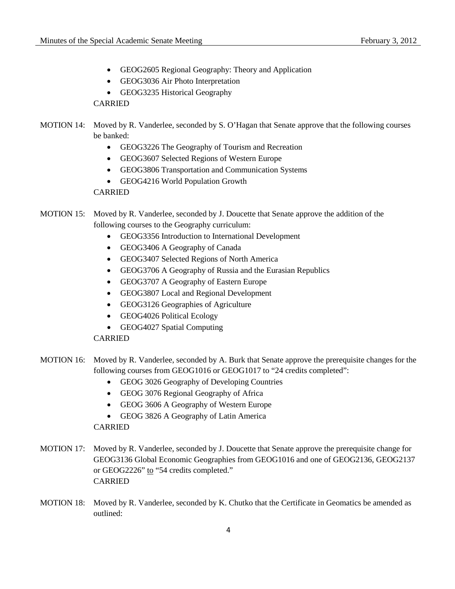- GEOG2605 Regional Geography: Theory and Application
- GEOG3036 Air Photo Interpretation
- GEOG3235 Historical Geography CARRIED

## MOTION 14: Moved by R. Vanderlee, seconded by S. O'Hagan that Senate approve that the following courses be banked:

- GEOG3226 The Geography of Tourism and Recreation
- GEOG3607 Selected Regions of Western Europe
- GEOG3806 Transportation and Communication Systems
- GEOG4216 World Population Growth

### CARRIED

### MOTION 15: Moved by R. Vanderlee, seconded by J. Doucette that Senate approve the addition of the following courses to the Geography curriculum:

- GEOG3356 Introduction to International Development
- GEOG3406 A Geography of Canada
- GEOG3407 Selected Regions of North America
- GEOG3706 A Geography of Russia and the Eurasian Republics
- GEOG3707 A Geography of Eastern Europe
- GEOG3807 Local and Regional Development
- GEOG3126 Geographies of Agriculture
- GEOG4026 Political Ecology
- GEOG4027 Spatial Computing

#### CARRIED

- MOTION 16: Moved by R. Vanderlee, seconded by A. Burk that Senate approve the prerequisite changes for the following courses from GEOG1016 or GEOG1017 to "24 credits completed":
	- GEOG 3026 Geography of Developing Countries
	- GEOG 3076 Regional Geography of Africa
	- GEOG 3606 A Geography of Western Europe
	- GEOG 3826 A Geography of Latin America

CARRIED

- MOTION 17: Moved by R. Vanderlee, seconded by J. Doucette that Senate approve the prerequisite change for GEOG3136 Global Economic Geographies from GEOG1016 and one of GEOG2136, GEOG2137 or GEOG2226" to "54 credits completed." CARRIED
- MOTION 18: Moved by R. Vanderlee, seconded by K. Chutko that the Certificate in Geomatics be amended as outlined: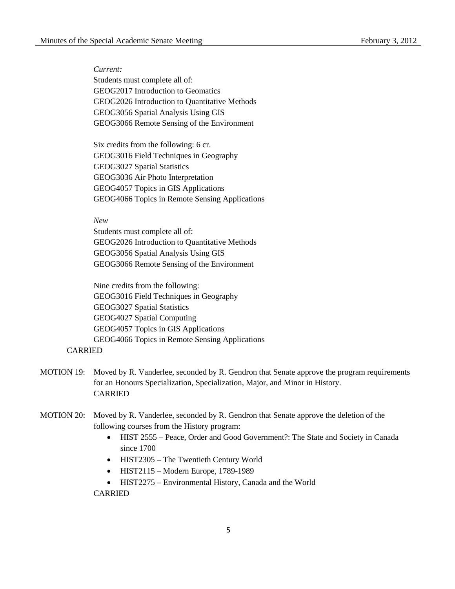*Current:* Students must complete all of: GEOG2017 Introduction to Geomatics GEOG2026 Introduction to Quantitative Methods GEOG3056 Spatial Analysis Using GIS GEOG3066 Remote Sensing of the Environment

Six credits from the following: 6 cr. GEOG3016 Field Techniques in Geography GEOG3027 Spatial Statistics GEOG3036 Air Photo Interpretation GEOG4057 Topics in GIS Applications GEOG4066 Topics in Remote Sensing Applications

*New* 

Students must complete all of: GEOG2026 Introduction to Quantitative Methods GEOG3056 Spatial Analysis Using GIS GEOG3066 Remote Sensing of the Environment

Nine credits from the following: GEOG3016 Field Techniques in Geography GEOG3027 Spatial Statistics GEOG4027 Spatial Computing GEOG4057 Topics in GIS Applications GEOG4066 Topics in Remote Sensing Applications

### CARRIED

- MOTION 19: Moved by R. Vanderlee, seconded by R. Gendron that Senate approve the program requirements for an Honours Specialization, Specialization, Major, and Minor in History. CARRIED
- MOTION 20: Moved by R. Vanderlee, seconded by R. Gendron that Senate approve the deletion of the following courses from the History program:
	- HIST 2555 Peace, Order and Good Government?: The State and Society in Canada since 1700
	- HIST2305 The Twentieth Century World
	- HIST2115 Modern Europe, 1789-1989
	- HIST2275 Environmental History, Canada and the World CARRIED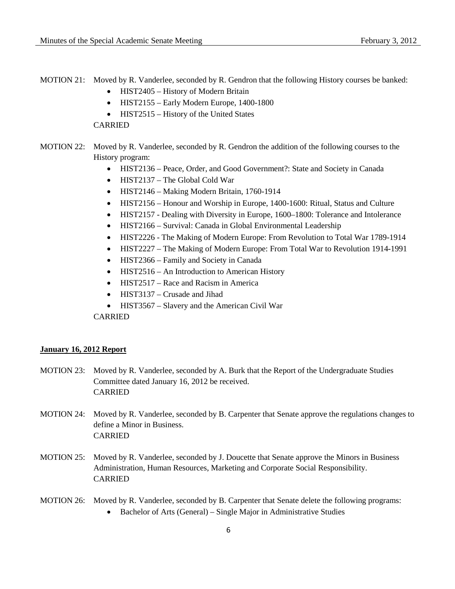- MOTION 21: Moved by R. Vanderlee, seconded by R. Gendron that the following History courses be banked:
	- HIST2405 History of Modern Britain
	- HIST2155 Early Modern Europe, 1400-1800
	- HIST2515 History of the United States

CARRIED

- MOTION 22: Moved by R. Vanderlee, seconded by R. Gendron the addition of the following courses to the History program:
	- HIST2136 Peace, Order, and Good Government?: State and Society in Canada
	- HIST2137 The Global Cold War
	- HIST2146 Making Modern Britain, 1760-1914
	- HIST2156 Honour and Worship in Europe, 1400-1600: Ritual, Status and Culture
	- HIST2157 Dealing with Diversity in Europe, 1600–1800: Tolerance and Intolerance
	- HIST2166 Survival: Canada in Global Environmental Leadership
	- HIST2226 The Making of Modern Europe: From Revolution to Total War 1789-1914
	- HIST2227 The Making of Modern Europe: From Total War to Revolution 1914-1991
	- HIST2366 Family and Society in Canada
	- HIST2516 An Introduction to American History
	- HIST2517 Race and Racism in America
	- HIST3137 Crusade and Jihad
	- HIST3567 Slavery and the American Civil War

CARRIED

#### **January 16, 2012 Report**

- MOTION 23: Moved by R. Vanderlee, seconded by A. Burk that the Report of the Undergraduate Studies Committee dated January 16, 2012 be received. CARRIED
- MOTION 24: Moved by R. Vanderlee, seconded by B. Carpenter that Senate approve the regulations changes to define a Minor in Business. CARRIED
- MOTION 25: Moved by R. Vanderlee, seconded by J. Doucette that Senate approve the Minors in Business Administration, Human Resources, Marketing and Corporate Social Responsibility. CARRIED
- MOTION 26: Moved by R. Vanderlee, seconded by B. Carpenter that Senate delete the following programs:
	- Bachelor of Arts (General) Single Major in Administrative Studies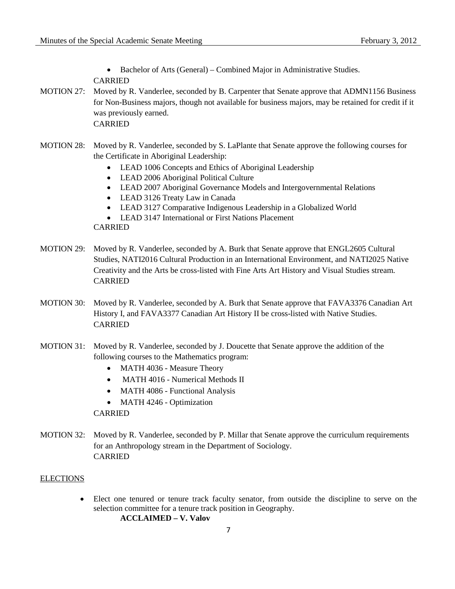• Bachelor of Arts (General) – Combined Major in Administrative Studies. CARRIED

- MOTION 27: Moved by R. Vanderlee, seconded by B. Carpenter that Senate approve that ADMN1156 Business for Non-Business majors, though not available for business majors, may be retained for credit if it was previously earned. CARRIED
- MOTION 28: Moved by R. Vanderlee, seconded by S. LaPlante that Senate approve the following courses for the Certificate in Aboriginal Leadership:
	- LEAD 1006 Concepts and Ethics of Aboriginal Leadership
	- LEAD 2006 Aboriginal Political Culture
	- LEAD 2007 Aboriginal Governance Models and Intergovernmental Relations
	- LEAD 3126 Treaty Law in Canada
	- LEAD 3127 Comparative Indigenous Leadership in a Globalized World
	- LEAD 3147 International or First Nations Placement

CARRIED

- MOTION 29: Moved by R. Vanderlee, seconded by A. Burk that Senate approve that ENGL2605 Cultural Studies, NATI2016 Cultural Production in an International Environment, and NATI2025 Native Creativity and the Arts be cross-listed with Fine Arts Art History and Visual Studies stream. CARRIED
- MOTION 30: Moved by R. Vanderlee, seconded by A. Burk that Senate approve that FAVA3376 Canadian Art History I, and FAVA3377 Canadian Art History II be cross-listed with Native Studies. CARRIED
- MOTION 31: Moved by R. Vanderlee, seconded by J. Doucette that Senate approve the addition of the following courses to the Mathematics program:
	- MATH 4036 Measure Theory
	- MATH 4016 Numerical Methods II
	- MATH 4086 Functional Analysis
	- MATH 4246 Optimization

CARRIED

MOTION 32: Moved by R. Vanderlee, seconded by P. Millar that Senate approve the curriculum requirements for an Anthropology stream in the Department of Sociology. CARRIED

#### **ELECTIONS**

• Elect one tenured or tenure track faculty senator, from outside the discipline to serve on the selection committee for a tenure track position in Geography. **ACCLAIMED – V. Valov**